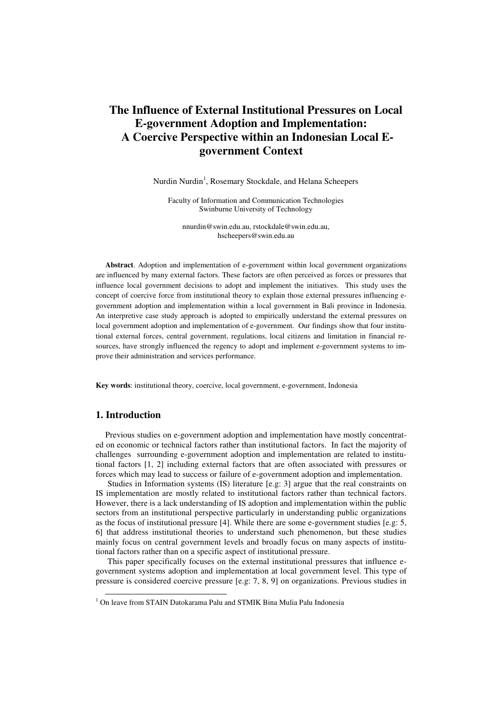# **The Influence of External Institutional Pressures on Local E-government Adoption and Implementation: A Coercive Perspective within an Indonesian Local Egovernment Context**

Nurdin Nurdin<sup>1</sup>, Rosemary Stockdale, and Helana Scheepers

Faculty of Information and Communication Technologies Swinburne University of Technology

nnurdin@swin.edu.au, rstockdale@swin.edu.au, hscheepers@swin.edu.au

**Abstract**. Adoption and implementation of e-government within local government organizations are influenced by many external factors. These factors are often perceived as forces or pressures that influence local government decisions to adopt and implement the initiatives. This study uses the concept of coercive force from institutional theory to explain those external pressures influencing egovernment adoption and implementation within a local government in Bali province in Indonesia. An interpretive case study approach is adopted to empirically understand the external pressures on local government adoption and implementation of e-government. Our findings show that four institutional external forces, central government, regulations, local citizens and limitation in financial resources, have strongly influenced the regency to adopt and implement e-government systems to improve their administration and services performance.

**Key words**: institutional theory, coercive, local government, e-government, Indonesia

# **1. Introduction**

-

Previous studies on e-government adoption and implementation have mostly concentrated on economic or technical factors rather than institutional factors. In fact the majority of challenges surrounding e-government adoption and implementation are related to institutional factors [1, 2] including external factors that are often associated with pressures or forces which may lead to success or failure of e-government adoption and implementation.

Studies in Information systems (IS) literature [e.g: 3] argue that the real constraints on IS implementation are mostly related to institutional factors rather than technical factors. However, there is a lack understanding of IS adoption and implementation within the public sectors from an institutional perspective particularly in understanding public organizations as the focus of institutional pressure [4]. While there are some e-government studies [e.g: 5, 6] that address institutional theories to understand such phenomenon, but these studies mainly focus on central government levels and broadly focus on many aspects of institutional factors rather than on a specific aspect of institutional pressure.

This paper specifically focuses on the external institutional pressures that influence egovernment systems adoption and implementation at local government level. This type of pressure is considered coercive pressure [e.g: 7, 8, 9] on organizations. Previous studies in

<sup>&</sup>lt;sup>1</sup> On leave from STAIN Datokarama Palu and STMIK Bina Mulia Palu Indonesia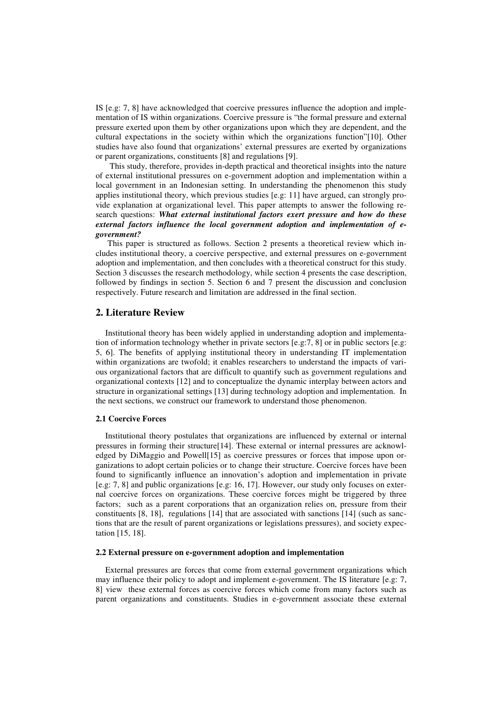IS [e.g: 7, 8] have acknowledged that coercive pressures influence the adoption and implementation of IS within organizations. Coercive pressure is "the formal pressure and external pressure exerted upon them by other organizations upon which they are dependent, and the cultural expectations in the society within which the organizations function"[10]. Other studies have also found that organizations' external pressures are exerted by organizations or parent organizations, constituents [8] and regulations [9].

 This study, therefore, provides in-depth practical and theoretical insights into the nature of external institutional pressures on e-government adoption and implementation within a local government in an Indonesian setting. In understanding the phenomenon this study applies institutional theory, which previous studies [e.g: 11] have argued, can strongly provide explanation at organizational level. This paper attempts to answer the following research questions: *What external institutional factors exert pressure and how do these external factors influence the local government adoption and implementation of egovernment?*

This paper is structured as follows. Section 2 presents a theoretical review which includes institutional theory, a coercive perspective, and external pressures on e-government adoption and implementation, and then concludes with a theoretical construct for this study. Section 3 discusses the research methodology, while section 4 presents the case description, followed by findings in section 5. Section 6 and 7 present the discussion and conclusion respectively. Future research and limitation are addressed in the final section.

# **2. Literature Review**

Institutional theory has been widely applied in understanding adoption and implementation of information technology whether in private sectors  $[e.g. 7, 8]$  or in public sectors  $[e.g. 1]$ 5, 6]. The benefits of applying institutional theory in understanding IT implementation within organizations are twofold; it enables researchers to understand the impacts of various organizational factors that are difficult to quantify such as government regulations and organizational contexts [12] and to conceptualize the dynamic interplay between actors and structure in organizational settings [13] during technology adoption and implementation. In the next sections, we construct our framework to understand those phenomenon.

### **2.1 Coercive Forces**

Institutional theory postulates that organizations are influenced by external or internal pressures in forming their structure[14]. These external or internal pressures are acknowledged by DiMaggio and Powell[15] as coercive pressures or forces that impose upon organizations to adopt certain policies or to change their structure. Coercive forces have been found to significantly influence an innovation's adoption and implementation in private [e.g: 7, 8] and public organizations [e.g: 16, 17]. However, our study only focuses on external coercive forces on organizations. These coercive forces might be triggered by three factors; such as a parent corporations that an organization relies on, pressure from their constituents [8, 18], regulations [14] that are associated with sanctions [14] (such as sanctions that are the result of parent organizations or legislations pressures), and society expectation [15, 18].

### **2.2 External pressure on e-government adoption and implementation**

External pressures are forces that come from external government organizations which may influence their policy to adopt and implement e-government. The IS literature [e.g: 7, 8] view these external forces as coercive forces which come from many factors such as parent organizations and constituents. Studies in e-government associate these external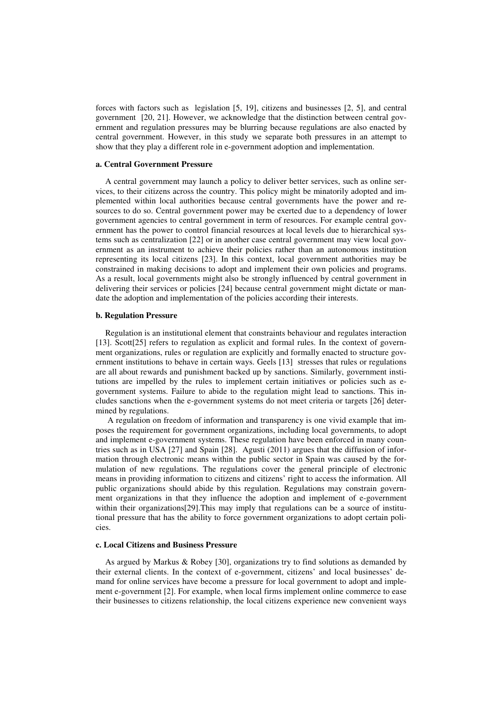forces with factors such as legislation [5, 19], citizens and businesses [2, 5], and central government [20, 21]. However, we acknowledge that the distinction between central government and regulation pressures may be blurring because regulations are also enacted by central government. However, in this study we separate both pressures in an attempt to show that they play a different role in e-government adoption and implementation.

### **a. Central Government Pressure**

A central government may launch a policy to deliver better services, such as online services, to their citizens across the country. This policy might be minatorily adopted and implemented within local authorities because central governments have the power and resources to do so. Central government power may be exerted due to a dependency of lower government agencies to central government in term of resources. For example central government has the power to control financial resources at local levels due to hierarchical systems such as centralization [22] or in another case central government may view local government as an instrument to achieve their policies rather than an autonomous institution representing its local citizens [23]. In this context, local government authorities may be constrained in making decisions to adopt and implement their own policies and programs. As a result, local governments might also be strongly influenced by central government in delivering their services or policies [24] because central government might dictate or mandate the adoption and implementation of the policies according their interests.

### **b. Regulation Pressure**

Regulation is an institutional element that constraints behaviour and regulates interaction [13]. Scott[25] refers to regulation as explicit and formal rules. In the context of government organizations, rules or regulation are explicitly and formally enacted to structure government institutions to behave in certain ways. Geels [13] stresses that rules or regulations are all about rewards and punishment backed up by sanctions. Similarly, government institutions are impelled by the rules to implement certain initiatives or policies such as egovernment systems. Failure to abide to the regulation might lead to sanctions. This includes sanctions when the e-government systems do not meet criteria or targets [26] determined by regulations.

A regulation on freedom of information and transparency is one vivid example that imposes the requirement for government organizations, including local governments, to adopt and implement e-government systems. These regulation have been enforced in many countries such as in USA [27] and Spain [28]. Agusti (2011) argues that the diffusion of information through electronic means within the public sector in Spain was caused by the formulation of new regulations. The regulations cover the general principle of electronic means in providing information to citizens and citizens' right to access the information. All public organizations should abide by this regulation. Regulations may constrain government organizations in that they influence the adoption and implement of e-government within their organizations[29]. This may imply that regulations can be a source of institutional pressure that has the ability to force government organizations to adopt certain policies.

### **c. Local Citizens and Business Pressure**

As argued by Markus & Robey [30], organizations try to find solutions as demanded by their external clients. In the context of e-government, citizens' and local businesses' demand for online services have become a pressure for local government to adopt and implement e-government [2]. For example, when local firms implement online commerce to ease their businesses to citizens relationship, the local citizens experience new convenient ways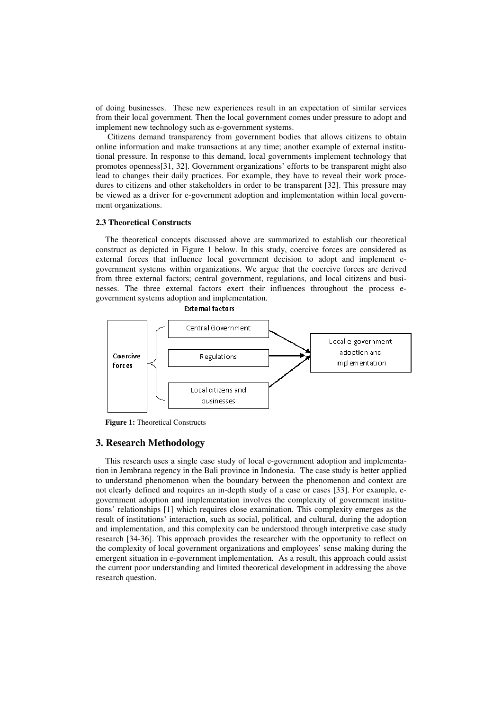of doing businesses. These new experiences result in an expectation of similar services from their local government. Then the local government comes under pressure to adopt and implement new technology such as e-government systems.

Citizens demand transparency from government bodies that allows citizens to obtain online information and make transactions at any time; another example of external institutional pressure. In response to this demand, local governments implement technology that promotes openness[31, 32]. Government organizations' efforts to be transparent might also lead to changes their daily practices. For example, they have to reveal their work procedures to citizens and other stakeholders in order to be transparent [32]. This pressure may be viewed as a driver for e-government adoption and implementation within local government organizations.

### **2.3 Theoretical Constructs**

The theoretical concepts discussed above are summarized to establish our theoretical construct as depicted in Figure 1 below. In this study, coercive forces are considered as external forces that influence local government decision to adopt and implement egovernment systems within organizations. We argue that the coercive forces are derived from three external factors; central government, regulations, and local citizens and businesses. The three external factors exert their influences throughout the process egovernment systems adoption and implementation.



**Figure 1:** Theoretical Constructs

### **3. Research Methodology**

This research uses a single case study of local e-government adoption and implementation in Jembrana regency in the Bali province in Indonesia. The case study is better applied to understand phenomenon when the boundary between the phenomenon and context are not clearly defined and requires an in-depth study of a case or cases [33]. For example, egovernment adoption and implementation involves the complexity of government institutions' relationships [1] which requires close examination. This complexity emerges as the result of institutions' interaction, such as social, political, and cultural, during the adoption and implementation, and this complexity can be understood through interpretive case study research [34-36]. This approach provides the researcher with the opportunity to reflect on the complexity of local government organizations and employees' sense making during the emergent situation in e-government implementation. As a result, this approach could assist the current poor understanding and limited theoretical development in addressing the above research question.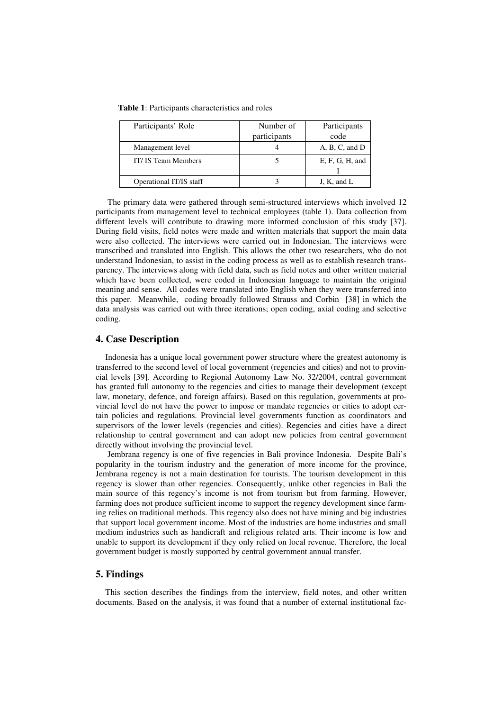| Participants' Role      | Number of    | Participants    |
|-------------------------|--------------|-----------------|
|                         | participants | code            |
| Management level        |              | A, B, C, and D  |
| IT/IS Team Members      |              | E, F, G, H, and |
|                         |              |                 |
| Operational IT/IS staff |              | $J$ , K, and L  |

The primary data were gathered through semi-structured interviews which involved 12 participants from management level to technical employees (table 1). Data collection from different levels will contribute to drawing more informed conclusion of this study [37]. During field visits, field notes were made and written materials that support the main data were also collected. The interviews were carried out in Indonesian. The interviews were transcribed and translated into English. This allows the other two researchers, who do not understand Indonesian, to assist in the coding process as well as to establish research transparency. The interviews along with field data, such as field notes and other written material which have been collected, were coded in Indonesian language to maintain the original meaning and sense. All codes were translated into English when they were transferred into this paper. Meanwhile, coding broadly followed Strauss and Corbin [38] in which the data analysis was carried out with three iterations; open coding, axial coding and selective coding.

# **4. Case Description**

Indonesia has a unique local government power structure where the greatest autonomy is transferred to the second level of local government (regencies and cities) and not to provincial levels [39]. According to Regional Autonomy Law No. 32/2004, central government has granted full autonomy to the regencies and cities to manage their development (except law, monetary, defence, and foreign affairs). Based on this regulation, governments at provincial level do not have the power to impose or mandate regencies or cities to adopt certain policies and regulations. Provincial level governments function as coordinators and supervisors of the lower levels (regencies and cities). Regencies and cities have a direct relationship to central government and can adopt new policies from central government directly without involving the provincial level.

Jembrana regency is one of five regencies in Bali province Indonesia. Despite Bali's popularity in the tourism industry and the generation of more income for the province, Jembrana regency is not a main destination for tourists. The tourism development in this regency is slower than other regencies. Consequently, unlike other regencies in Bali the main source of this regency's income is not from tourism but from farming. However, farming does not produce sufficient income to support the regency development since farming relies on traditional methods. This regency also does not have mining and big industries that support local government income. Most of the industries are home industries and small medium industries such as handicraft and religious related arts. Their income is low and unable to support its development if they only relied on local revenue. Therefore, the local government budget is mostly supported by central government annual transfer.

# **5. Findings**

This section describes the findings from the interview, field notes, and other written documents. Based on the analysis, it was found that a number of external institutional fac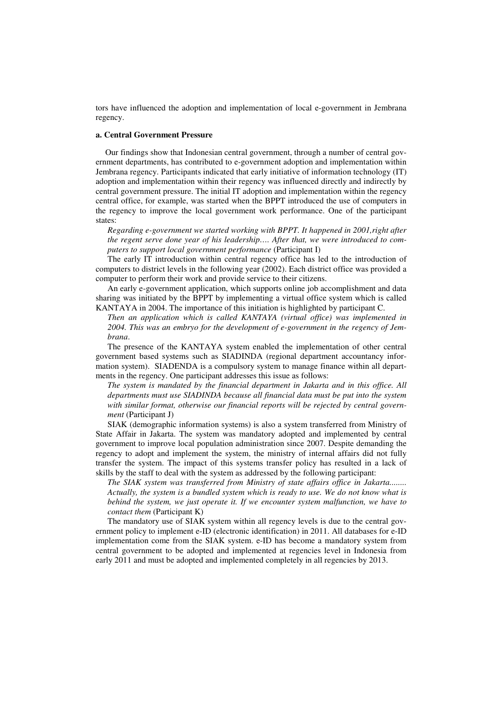tors have influenced the adoption and implementation of local e-government in Jembrana regency.

# **a. Central Government Pressure**

Our findings show that Indonesian central government, through a number of central government departments, has contributed to e-government adoption and implementation within Jembrana regency. Participants indicated that early initiative of information technology (IT) adoption and implementation within their regency was influenced directly and indirectly by central government pressure. The initial IT adoption and implementation within the regency central office, for example, was started when the BPPT introduced the use of computers in the regency to improve the local government work performance. One of the participant states:

*Regarding e-government we started working with BPPT. It happened in 2001,right after the regent serve done year of his leadership…. After that, we were introduced to computers to support local government performance* (Participant I)

The early IT introduction within central regency office has led to the introduction of computers to district levels in the following year (2002). Each district office was provided a computer to perform their work and provide service to their citizens.

An early e-government application, which supports online job accomplishment and data sharing was initiated by the BPPT by implementing a virtual office system which is called KANTAYA in 2004. The importance of this initiation is highlighted by participant C.

*Then an application which is called KANTAYA (virtual office) was implemented in 2004. This was an embryo for the development of e-government in the regency of Jembrana*.

The presence of the KANTAYA system enabled the implementation of other central government based systems such as SIADINDA (regional department accountancy information system). SIADENDA is a compulsory system to manage finance within all departments in the regency. One participant addresses this issue as follows:

*The system is mandated by the financial department in Jakarta and in this office. All departments must use SIADINDA because all financial data must be put into the system with similar format, otherwise our financial reports will be rejected by central government* (Participant J)

SIAK (demographic information systems) is also a system transferred from Ministry of State Affair in Jakarta. The system was mandatory adopted and implemented by central government to improve local population administration since 2007. Despite demanding the regency to adopt and implement the system, the ministry of internal affairs did not fully transfer the system. The impact of this systems transfer policy has resulted in a lack of skills by the staff to deal with the system as addressed by the following participant:

*The SIAK system was transferred from Ministry of state affairs office in Jakarta........ Actually, the system is a bundled system which is ready to use. We do not know what is behind the system, we just operate it. If we encounter system malfunction, we have to contact them* (Participant K)

The mandatory use of SIAK system within all regency levels is due to the central government policy to implement e-ID (electronic identification) in 2011. All databases for e-ID implementation come from the SIAK system. e-ID has become a mandatory system from central government to be adopted and implemented at regencies level in Indonesia from early 2011 and must be adopted and implemented completely in all regencies by 2013.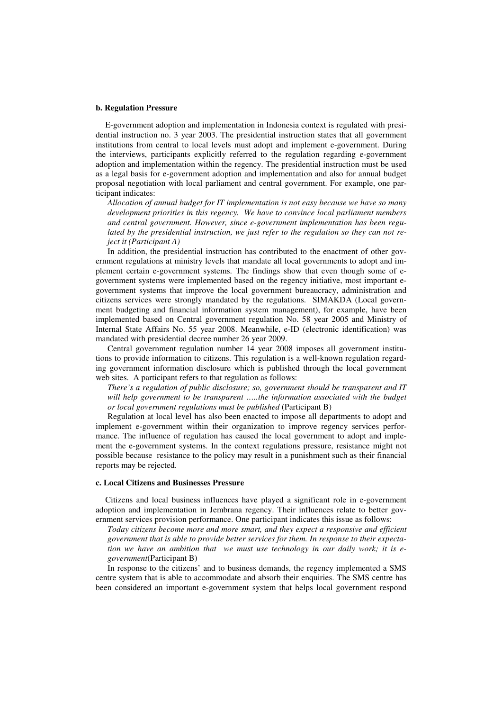### **b. Regulation Pressure**

E-government adoption and implementation in Indonesia context is regulated with presidential instruction no. 3 year 2003. The presidential instruction states that all government institutions from central to local levels must adopt and implement e-government. During the interviews, participants explicitly referred to the regulation regarding e-government adoption and implementation within the regency. The presidential instruction must be used as a legal basis for e-government adoption and implementation and also for annual budget proposal negotiation with local parliament and central government. For example, one participant indicates:

*Allocation of annual budget for IT implementation is not easy because we have so many development priorities in this regency. We have to convince local parliament members and central government. However, since e-government implementation has been regulated by the presidential instruction, we just refer to the regulation so they can not reject it (Participant A)* 

In addition, the presidential instruction has contributed to the enactment of other government regulations at ministry levels that mandate all local governments to adopt and implement certain e-government systems. The findings show that even though some of egovernment systems were implemented based on the regency initiative, most important egovernment systems that improve the local government bureaucracy, administration and citizens services were strongly mandated by the regulations. SIMAKDA (Local government budgeting and financial information system management), for example, have been implemented based on Central government regulation No. 58 year 2005 and Ministry of Internal State Affairs No. 55 year 2008. Meanwhile, e-ID (electronic identification) was mandated with presidential decree number 26 year 2009.

Central government regulation number 14 year 2008 imposes all government institutions to provide information to citizens. This regulation is a well-known regulation regarding government information disclosure which is published through the local government web sites. A participant refers to that regulation as follows:

*There's a regulation of public disclosure; so, government should be transparent and IT will help government to be transparent …..the information associated with the budget or local government regulations must be published* (Participant B)

Regulation at local level has also been enacted to impose all departments to adopt and implement e-government within their organization to improve regency services performance. The influence of regulation has caused the local government to adopt and implement the e-government systems. In the context regulations pressure, resistance might not possible because resistance to the policy may result in a punishment such as their financial reports may be rejected.

#### **c. Local Citizens and Businesses Pressure**

Citizens and local business influences have played a significant role in e-government adoption and implementation in Jembrana regency. Their influences relate to better government services provision performance. One participant indicates this issue as follows:

*Today citizens become more and more smart, and they expect a responsive and efficient government that is able to provide better services for them. In response to their expectation we have an ambition that we must use technology in our daily work; it is egovernment*(Participant B)

In response to the citizens' and to business demands, the regency implemented a SMS centre system that is able to accommodate and absorb their enquiries. The SMS centre has been considered an important e-government system that helps local government respond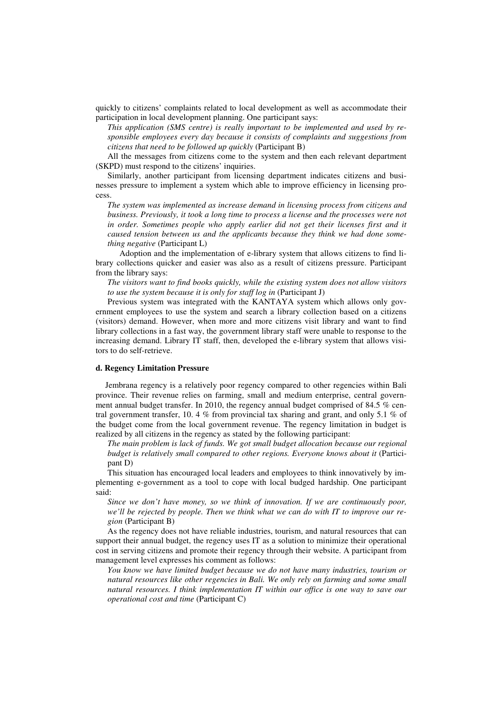quickly to citizens' complaints related to local development as well as accommodate their participation in local development planning. One participant says:

*This application (SMS centre) is really important to be implemented and used by responsible employees every day because it consists of complaints and suggestions from citizens that need to be followed up quickly* (Participant B)

All the messages from citizens come to the system and then each relevant department (SKPD) must respond to the citizens' inquiries.

Similarly, another participant from licensing department indicates citizens and businesses pressure to implement a system which able to improve efficiency in licensing process.

*The system was implemented as increase demand in licensing process from citizens and business. Previously, it took a long time to process a license and the processes were not in order. Sometimes people who apply earlier did not get their licenses first and it caused tension between us and the applicants because they think we had done something negative* (Participant L)

Adoption and the implementation of e-library system that allows citizens to find library collections quicker and easier was also as a result of citizens pressure. Participant from the library says:

*The visitors want to find books quickly, while the existing system does not allow visitors to use the system because it is only for staff log in* (Participant J)

Previous system was integrated with the KANTAYA system which allows only government employees to use the system and search a library collection based on a citizens (visitors) demand. However, when more and more citizens visit library and want to find library collections in a fast way, the government library staff were unable to response to the increasing demand. Library IT staff, then, developed the e-library system that allows visitors to do self-retrieve.

### **d. Regency Limitation Pressure**

Jembrana regency is a relatively poor regency compared to other regencies within Bali province. Their revenue relies on farming, small and medium enterprise, central government annual budget transfer. In 2010, the regency annual budget comprised of 84.5 % central government transfer, 10. 4 % from provincial tax sharing and grant, and only 5.1 % of the budget come from the local government revenue. The regency limitation in budget is realized by all citizens in the regency as stated by the following participant:

*The main problem is lack of funds. We got small budget allocation because our regional budget is relatively small compared to other regions. Everyone knows about it (Partici*pant D)

This situation has encouraged local leaders and employees to think innovatively by implementing e-government as a tool to cope with local budged hardship. One participant said:

*Since we don't have money, so we think of innovation. If we are continuously poor, we'll be rejected by people. Then we think what we can do with IT to improve our region* (Participant B)

As the regency does not have reliable industries, tourism, and natural resources that can support their annual budget, the regency uses IT as a solution to minimize their operational cost in serving citizens and promote their regency through their website. A participant from management level expresses his comment as follows:

*You know we have limited budget because we do not have many industries, tourism or natural resources like other regencies in Bali. We only rely on farming and some small natural resources. I think implementation IT within our office is one way to save our operational cost and time* (Participant C)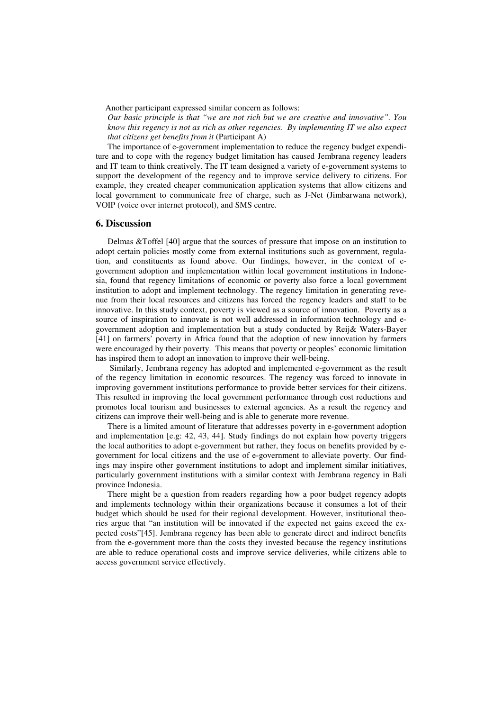Another participant expressed similar concern as follows:

*Our basic principle is that "we are not rich but we are creative and innovative". You know this regency is not as rich as other regencies. By implementing IT we also expect that citizens get benefits from it* (Participant A)

The importance of e-government implementation to reduce the regency budget expenditure and to cope with the regency budget limitation has caused Jembrana regency leaders and IT team to think creatively. The IT team designed a variety of e-government systems to support the development of the regency and to improve service delivery to citizens. For example, they created cheaper communication application systems that allow citizens and local government to communicate free of charge, such as J-Net (Jimbarwana network), VOIP (voice over internet protocol), and SMS centre.

# **6. Discussion**

Delmas &Toffel [40] argue that the sources of pressure that impose on an institution to adopt certain policies mostly come from external institutions such as government, regulation, and constituents as found above. Our findings, however, in the context of egovernment adoption and implementation within local government institutions in Indonesia, found that regency limitations of economic or poverty also force a local government institution to adopt and implement technology. The regency limitation in generating revenue from their local resources and citizens has forced the regency leaders and staff to be innovative. In this study context, poverty is viewed as a source of innovation. Poverty as a source of inspiration to innovate is not well addressed in information technology and egovernment adoption and implementation but a study conducted by Reij& Waters-Bayer [41] on farmers' poverty in Africa found that the adoption of new innovation by farmers were encouraged by their poverty. This means that poverty or peoples' economic limitation has inspired them to adopt an innovation to improve their well-being.

 Similarly, Jembrana regency has adopted and implemented e-government as the result of the regency limitation in economic resources. The regency was forced to innovate in improving government institutions performance to provide better services for their citizens. This resulted in improving the local government performance through cost reductions and promotes local tourism and businesses to external agencies. As a result the regency and citizens can improve their well-being and is able to generate more revenue.

There is a limited amount of literature that addresses poverty in e-government adoption and implementation [e.g: 42, 43, 44]. Study findings do not explain how poverty triggers the local authorities to adopt e-government but rather, they focus on benefits provided by egovernment for local citizens and the use of e-government to alleviate poverty. Our findings may inspire other government institutions to adopt and implement similar initiatives, particularly government institutions with a similar context with Jembrana regency in Bali province Indonesia.

There might be a question from readers regarding how a poor budget regency adopts and implements technology within their organizations because it consumes a lot of their budget which should be used for their regional development. However, institutional theories argue that "an institution will be innovated if the expected net gains exceed the expected costs"[45]. Jembrana regency has been able to generate direct and indirect benefits from the e-government more than the costs they invested because the regency institutions are able to reduce operational costs and improve service deliveries, while citizens able to access government service effectively.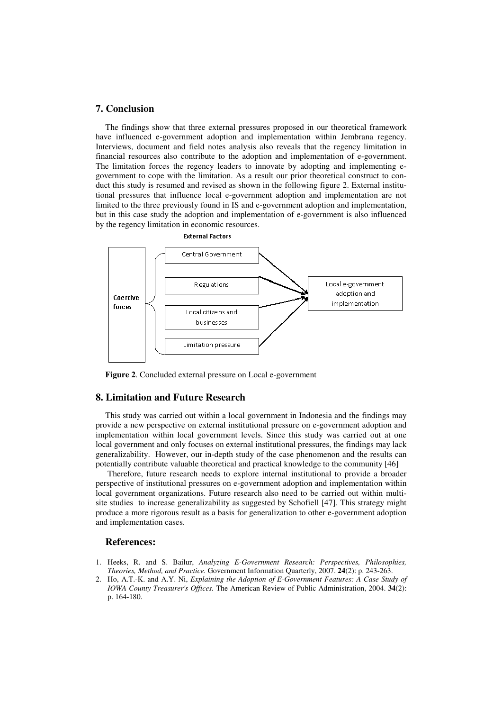# **7. Conclusion**

The findings show that three external pressures proposed in our theoretical framework have influenced e-government adoption and implementation within Jembrana regency. Interviews, document and field notes analysis also reveals that the regency limitation in financial resources also contribute to the adoption and implementation of e-government. The limitation forces the regency leaders to innovate by adopting and implementing egovernment to cope with the limitation. As a result our prior theoretical construct to conduct this study is resumed and revised as shown in the following figure 2. External institutional pressures that influence local e-government adoption and implementation are not limited to the three previously found in IS and e-government adoption and implementation, but in this case study the adoption and implementation of e-government is also influenced by the regency limitation in economic resources.



**Figure 2**. Concluded external pressure on Local e-government

### **8. Limitation and Future Research**

This study was carried out within a local government in Indonesia and the findings may provide a new perspective on external institutional pressure on e-government adoption and implementation within local government levels. Since this study was carried out at one local government and only focuses on external institutional pressures, the findings may lack generalizability. However, our in-depth study of the case phenomenon and the results can potentially contribute valuable theoretical and practical knowledge to the community [46]

Therefore, future research needs to explore internal institutional to provide a broader perspective of institutional pressures on e-government adoption and implementation within local government organizations. Future research also need to be carried out within multisite studies to increase generalizability as suggested by Schofiell [47]. This strategy might produce a more rigorous result as a basis for generalization to other e-government adoption and implementation cases.

### **References:**

- 1. Heeks, R. and S. Bailur, *Analyzing E-Government Research: Perspectives, Philosophies, Theories, Method, and Practice.* Government Information Quarterly, 2007. **24**(2): p. 243-263.
- 2. Ho, A.T.-K. and A.Y. Ni, *Explaining the Adoption of E-Government Features: A Case Study of IOWA County Treasurer's Offices.* The American Review of Public Administration, 2004. **34**(2): p. 164-180.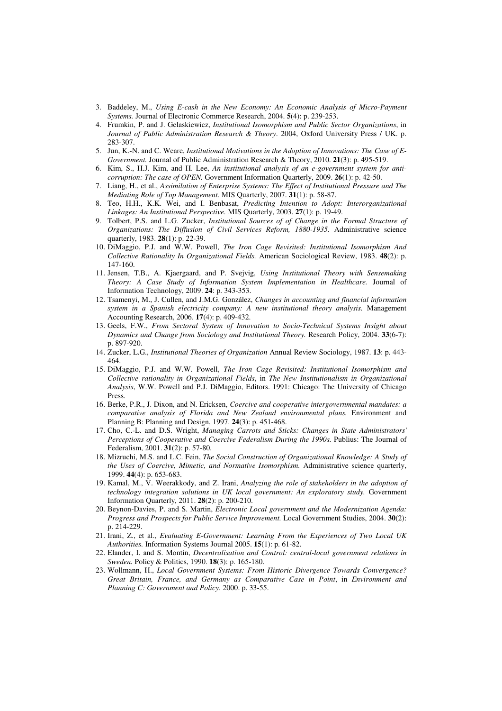- 3. Baddeley, M., *Using E-cash in the New Economy: An Economic Analysis of Micro-Payment Systems.* Journal of Electronic Commerce Research, 2004. **5**(4): p. 239-253.
- 4. Frumkin, P. and J. Gelaskiewicz, *Institutional Isomorphism and Public Sector Organizations*, in *Journal of Public Administration Research & Theory*. 2004, Oxford University Press / UK. p. 283-307.
- 5. Jun, K.-N. and C. Weare, *Institutional Motivations in the Adoption of Innovations: The Case of E-Government.* Journal of Public Administration Research & Theory, 2010. **21**(3): p. 495-519.
- 6. Kim, S., H.J. Kim, and H. Lee, *An institutional analysis of an e-government system for anticorruption: The case of OPEN.* Government Information Quarterly, 2009. **26**(1): p. 42-50.
- 7. Liang, H., et al., *Assimilation of Enterprise Systems: The Effect of Institutional Pressure and The Mediating Role of Top Management.* MIS Quarterly, 2007. **31**(1): p. 58-87.
- 8. Teo, H.H., K.K. Wei, and I. Benbasat, *Predicting Intention to Adopt: Interorganizational Linkages: An Institutional Perspective.* MIS Quarterly, 2003. **27**(1): p. 19-49.
- 9. Tolbert, P.S. and L.G. Zucker, *Institutional Sources of of Change in the Formal Structure of Organizations: The Diffusion of Civil Services Reform, 1880-1935.* Administrative science quarterly, 1983. **28**(1): p. 22-39.
- 10. DiMaggio, P.J. and W.W. Powell, *The Iron Cage Revisited: Institutional Isomorphism And Collective Rationality In Organizational Fields.* American Sociological Review, 1983. **48**(2): p. 147-160.
- 11. Jensen, T.B., A. Kjaergaard, and P. Svejvig, *Using Institutional Theory with Sensemaking Theory: A Case Study of Information System Implementation in Healthcare.* Journal of Information Technology, 2009. **24**: p. 343-353.
- 12. Tsamenyi, M., J. Cullen, and J.M.G. González, *Changes in accounting and financial information system in a Spanish electricity company: A new institutional theory analysis.* Management Accounting Research, 2006. **17**(4): p. 409-432.
- 13. Geels, F.W., *From Sectoral System of Innovation to Socio-Technical Systems Insight about Dynamics and Change from Sociology and Institutional Theory.* Research Policy, 2004. **33**(6-7): p. 897-920.
- 14. Zucker, L.G., *Institutional Theories of Organization* Annual Review Sociology, 1987. **13**: p. 443- 464.
- 15. DiMaggio, P.J. and W.W. Powell, *The Iron Cage Revisited: Institutional Isomorphism and Collective rationality in Organizational Fields*, in *The New Institutionalism in Organizational Analysis*, W.W. Powell and P.J. DiMaggio, Editors. 1991: Chicago: The University of Chicago Press.
- 16. Berke, P.R., J. Dixon, and N. Ericksen, *Coercive and cooperative intergovernmental mandates: a comparative analysis of Florida and New Zealand environmental plans.* Environment and Planning B: Planning and Design, 1997. **24**(3): p. 451-468.
- 17. Cho, C.-L. and D.S. Wright, *Managing Carrots and Sticks: Changes in State Administrators' Perceptions of Cooperative and Coercive Federalism During the 1990s.* Publius: The Journal of Federalism, 2001. **31**(2): p. 57-80.
- 18. Mizruchi, M.S. and L.C. Fein, *The Social Construction of Organizational Knowledge: A Study of the Uses of Coercive, Mimetic, and Normative Isomorphism.* Administrative science quarterly, 1999. **44**(4): p. 653-683.
- 19. Kamal, M., V. Weerakkody, and Z. Irani, *Analyzing the role of stakeholders in the adoption of technology integration solutions in UK local government: An exploratory study.* Government Information Quarterly, 2011. **28**(2): p. 200-210.
- 20. Beynon-Davies, P. and S. Martin, *Electronic Local government and the Modernization Agenda: Progress and Prospects for Public Service Improvement.* Local Government Studies, 2004. **30**(2): p. 214-229.
- 21. Irani, Z., et al., *Evaluating E-Government: Learning From the Experiences of Two Local UK Authorities.* Information Systems Journal 2005. **15**(1): p. 61-82.
- 22. Elander, I. and S. Montin, *Decentralisation and Control: central-local government relations in Sweden.* Policy & Politics, 1990. **18**(3): p. 165-180.
- 23. Wollmann, H., *Local Government Systems: From Historic Divergence Towards Convergence? Great Britain, France, and Germany as Comparative Case in Point*, in *Environment and Planning C: Government and Policy*. 2000. p. 33-55.